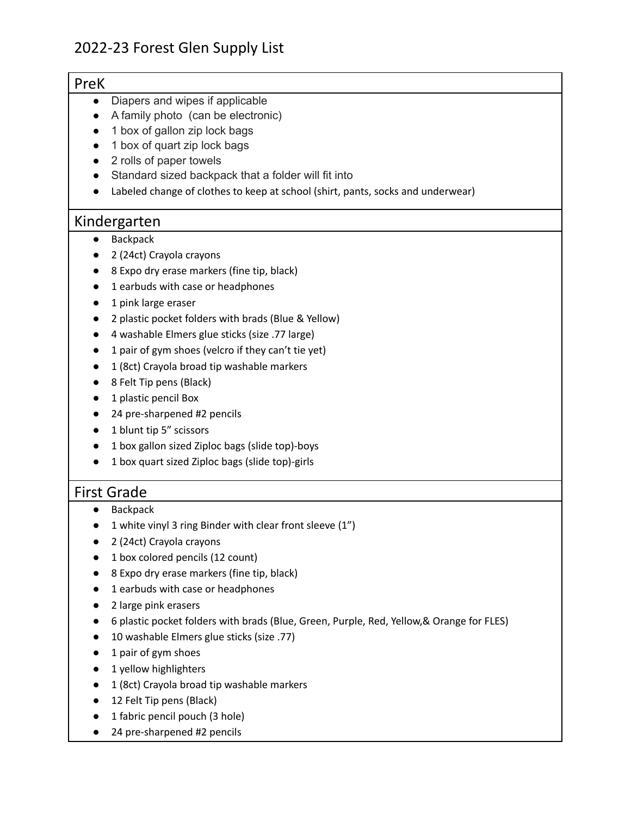| PreK               |                                                                                           |
|--------------------|-------------------------------------------------------------------------------------------|
| $\bullet$          | Diapers and wipes if applicable                                                           |
|                    | A family photo (can be electronic)                                                        |
|                    | 1 box of gallon zip lock bags                                                             |
|                    | 1 box of quart zip lock bags                                                              |
|                    | 2 rolls of paper towels                                                                   |
|                    | Standard sized backpack that a folder will fit into                                       |
|                    | Labeled change of clothes to keep at school (shirt, pants, socks and underwear)           |
| Kindergarten       |                                                                                           |
|                    | Backpack                                                                                  |
|                    | 2 (24ct) Crayola crayons                                                                  |
|                    | 8 Expo dry erase markers (fine tip, black)                                                |
|                    | 1 earbuds with case or headphones                                                         |
|                    | 1 pink large eraser                                                                       |
|                    | 2 plastic pocket folders with brads (Blue & Yellow)                                       |
|                    | 4 washable Elmers glue sticks (size .77 large)                                            |
|                    | 1 pair of gym shoes (velcro if they can't tie yet)                                        |
|                    | 1 (8ct) Crayola broad tip washable markers                                                |
|                    | 8 Felt Tip pens (Black)                                                                   |
|                    | 1 plastic pencil Box                                                                      |
|                    | 24 pre-sharpened #2 pencils                                                               |
|                    | 1 blunt tip 5" scissors                                                                   |
|                    | 1 box gallon sized Ziploc bags (slide top)-boys                                           |
|                    | 1 box quart sized Ziploc bags (slide top)-girls                                           |
| <b>First Grade</b> |                                                                                           |
|                    | Backpack                                                                                  |
|                    | 1 white vinyl 3 ring Binder with clear front sleeve (1")                                  |
|                    | 2 (24ct) Crayola crayons                                                                  |
|                    | 1 box colored pencils (12 count)                                                          |
|                    | 8 Expo dry erase markers (fine tip, black)                                                |
|                    | 1 earbuds with case or headphones                                                         |
|                    | 2 large pink erasers                                                                      |
|                    | 6 plastic pocket folders with brads (Blue, Green, Purple, Red, Yellow, & Orange for FLES) |
|                    | 10 washable Elmers glue sticks (size .77)                                                 |
|                    | 1 pair of gym shoes                                                                       |
|                    | 1 yellow highlighters                                                                     |
|                    | 1 (8ct) Crayola broad tip washable markers                                                |
|                    | 12 Felt Tip pens (Black)                                                                  |
|                    | 1 fabric pencil pouch (3 hole)                                                            |

● 24 pre-sharpened #2 pencils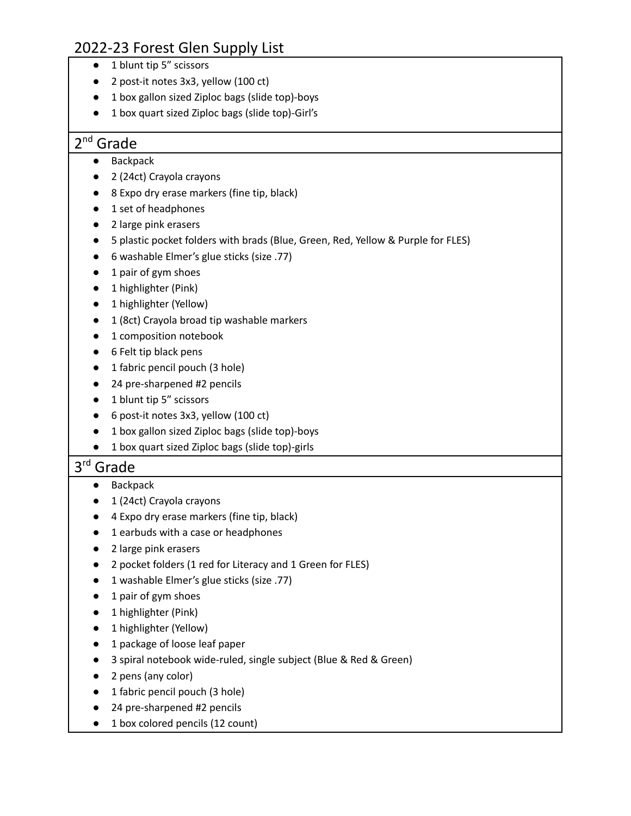- 1 blunt tip 5" scissors
- 2 post-it notes 3x3, yellow (100 ct)
- 1 box gallon sized Ziploc bags (slide top)-boys
- 1 box quart sized Ziploc bags (slide top)-Girl's

# 2<sup>nd</sup> Grade

- Backpack
- 2 (24ct) Crayola crayons
- 8 Expo dry erase markers (fine tip, black)
- 1 set of headphones
- 2 large pink erasers
- 5 plastic pocket folders with brads (Blue, Green, Red, Yellow & Purple for FLES)
- 6 washable Elmer's glue sticks (size .77)
- 1 pair of gym shoes
- 1 highlighter (Pink)
- 1 highlighter (Yellow)
- 1 (8ct) Crayola broad tip washable markers
- 1 composition notebook
- 6 Felt tip black pens
- 1 fabric pencil pouch (3 hole)
- 24 pre-sharpened #2 pencils
- 1 blunt tip 5" scissors
- 6 post-it notes 3x3, yellow (100 ct)
- 1 box gallon sized Ziploc bags (slide top)-boys
- 1 box quart sized Ziploc bags (slide top)-girls

# 3 rd Grade

- Backpack
- 1 (24ct) Crayola crayons
- 4 Expo dry erase markers (fine tip, black)
- 1 earbuds with a case or headphones
- 2 large pink erasers
- 2 pocket folders (1 red for Literacy and 1 Green for FLES)
- 1 washable Elmer's glue sticks (size .77)
- 1 pair of gym shoes
- 1 highlighter (Pink)
- 1 highlighter (Yellow)
- 1 package of loose leaf paper
- 3 spiral notebook wide-ruled, single subject (Blue & Red & Green)
- 2 pens (any color)
- 1 fabric pencil pouch (3 hole)
- 24 pre-sharpened #2 pencils
- 1 box colored pencils (12 count)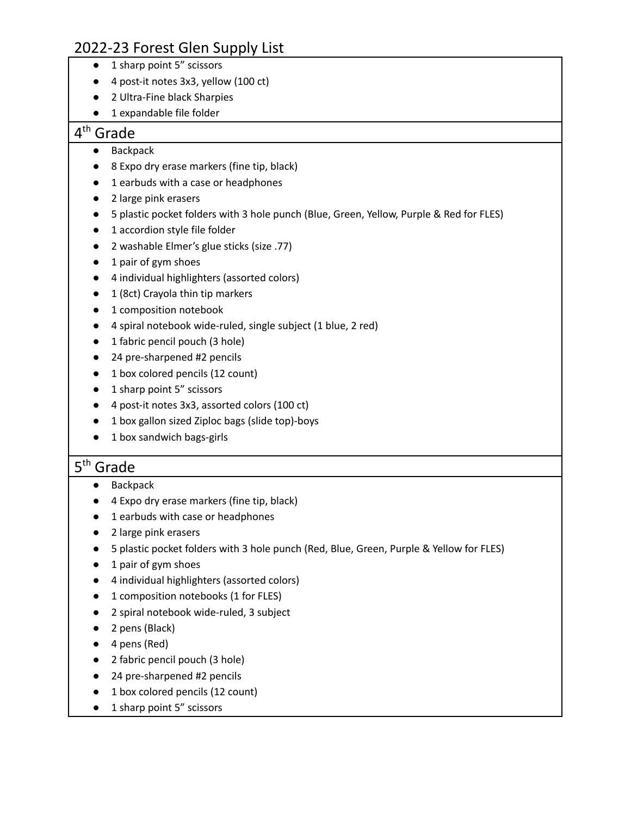- 1 sharp point 5" scissors
- 4 post-it notes 3x3, yellow (100 ct)
- 2 Ultra-Fine black Sharpies
- 1 expandable file folder

# 4<sup>th</sup> Grade

- Backpack
- 8 Expo dry erase markers (fine tip, black)
- 1 earbuds with a case or headphones
- 2 large pink erasers
- 5 plastic pocket folders with 3 hole punch (Blue, Green, Yellow, Purple & Red for FLES)
- 1 accordion style file folder
- 2 washable Elmer's glue sticks (size .77)
- 1 pair of gym shoes
- 4 individual highlighters (assorted colors)
- 1 (8ct) Crayola thin tip markers
- 1 composition notebook
- 4 spiral notebook wide-ruled, single subject (1 blue, 2 red)
- 1 fabric pencil pouch (3 hole)
- 24 pre-sharpened #2 pencils
- 1 box colored pencils (12 count)
- 1 sharp point 5" scissors
- 4 post-it notes 3x3, assorted colors (100 ct)
- 1 box gallon sized Ziploc bags (slide top)-boys
- 1 box sandwich bags-girls

# 5<sup>th</sup> Grade

- Backpack
- 4 Expo dry erase markers (fine tip, black)
- 1 earbuds with case or headphones
- 2 large pink erasers
- 5 plastic pocket folders with 3 hole punch (Red, Blue, Green, Purple & Yellow for FLES)
- 1 pair of gym shoes
- 4 individual highlighters (assorted colors)
- 1 composition notebooks (1 for FLES)
- 2 spiral notebook wide-ruled, 3 subject
- 2 pens (Black)
- 4 pens (Red)
- 2 fabric pencil pouch (3 hole)
- 24 pre-sharpened #2 pencils
- 1 box colored pencils (12 count)
- 1 sharp point 5" scissors